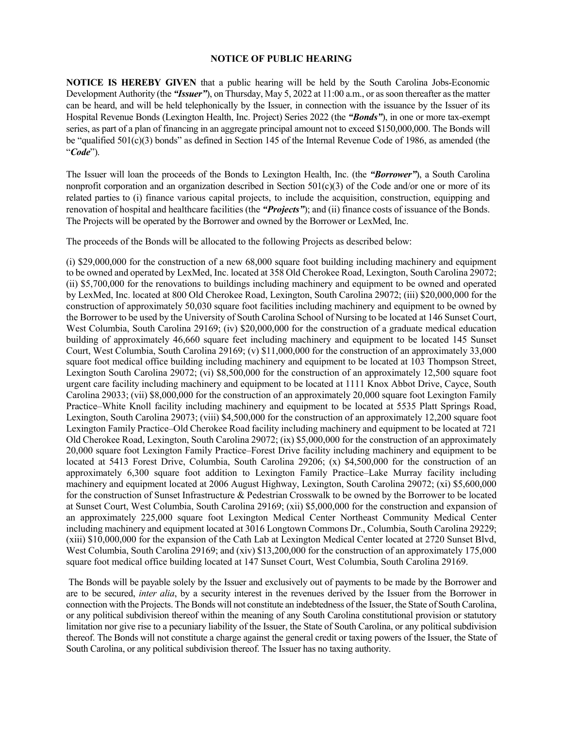## **NOTICE OF PUBLIC HEARING**

**NOTICE IS HEREBY GIVEN** that a public hearing will be held by the South Carolina Jobs-Economic Development Authority (the *"Issuer"*), on Thursday, May 5, 2022 at 11:00 a.m., or as soon thereafter as the matter can be heard, and will be held telephonically by the Issuer, in connection with the issuance by the Issuer of its Hospital Revenue Bonds (Lexington Health, Inc. Project) Series 2022 (the *"Bonds"*), in one or more tax-exempt series, as part of a plan of financing in an aggregate principal amount not to exceed \$150,000,000. The Bonds will be "qualified 501(c)(3) bonds" as defined in Section 145 of the Internal Revenue Code of 1986, as amended (the "*Code*").

The Issuer will loan the proceeds of the Bonds to Lexington Health, Inc. (the *"Borrower"*), a South Carolina nonprofit corporation and an organization described in Section 501(c)(3) of the Code and/or one or more of its related parties to (i) finance various capital projects, to include the acquisition, construction, equipping and renovation of hospital and healthcare facilities (the *"Projects"*); and (ii) finance costs of issuance of the Bonds. The Projects will be operated by the Borrower and owned by the Borrower or LexMed, Inc.

The proceeds of the Bonds will be allocated to the following Projects as described below:

(i) \$29,000,000 for the construction of a new 68,000 square foot building including machinery and equipment to be owned and operated by LexMed, Inc. located at 358 Old Cherokee Road, Lexington, South Carolina 29072; (ii) \$5,700,000 for the renovations to buildings including machinery and equipment to be owned and operated by LexMed, Inc. located at 800 Old Cherokee Road, Lexington, South Carolina 29072; (iii) \$20,000,000 for the construction of approximately 50,030 square foot facilities including machinery and equipment to be owned by the Borrower to be used by the University of South Carolina School of Nursing to be located at 146 Sunset Court, West Columbia, South Carolina 29169; (iv) \$20,000,000 for the construction of a graduate medical education building of approximately 46,660 square feet including machinery and equipment to be located 145 Sunset Court, West Columbia, South Carolina 29169; (v) \$11,000,000 for the construction of an approximately 33,000 square foot medical office building including machinery and equipment to be located at 103 Thompson Street, Lexington South Carolina 29072; (vi) \$8,500,000 for the construction of an approximately 12,500 square foot urgent care facility including machinery and equipment to be located at 1111 Knox Abbot Drive, Cayce, South Carolina 29033; (vii) \$8,000,000 for the construction of an approximately 20,000 square foot Lexington Family Practice–White Knoll facility including machinery and equipment to be located at 5535 Platt Springs Road, Lexington, South Carolina 29073; (viii) \$4,500,000 for the construction of an approximately 12,200 square foot Lexington Family Practice–Old Cherokee Road facility including machinery and equipment to be located at 721 Old Cherokee Road, Lexington, South Carolina 29072; (ix) \$5,000,000 for the construction of an approximately 20,000 square foot Lexington Family Practice–Forest Drive facility including machinery and equipment to be located at 5413 Forest Drive, Columbia, South Carolina 29206; (x) \$4,500,000 for the construction of an approximately 6,300 square foot addition to Lexington Family Practice–Lake Murray facility including machinery and equipment located at 2006 August Highway, Lexington, South Carolina 29072; (xi) \$5,600,000 for the construction of Sunset Infrastructure & Pedestrian Crosswalk to be owned by the Borrower to be located at Sunset Court, West Columbia, South Carolina 29169; (xii) \$5,000,000 for the construction and expansion of an approximately 225,000 square foot Lexington Medical Center Northeast Community Medical Center including machinery and equipment located at 3016 Longtown Commons Dr., Columbia, South Carolina 29229; (xiii) \$10,000,000 for the expansion of the Cath Lab at Lexington Medical Center located at 2720 Sunset Blvd, West Columbia, South Carolina 29169; and (xiv) \$13,200,000 for the construction of an approximately 175,000 square foot medical office building located at 147 Sunset Court, West Columbia, South Carolina 29169.

The Bonds will be payable solely by the Issuer and exclusively out of payments to be made by the Borrower and are to be secured, *inter alia*, by a security interest in the revenues derived by the Issuer from the Borrower in connection with the Projects. The Bonds will not constitute an indebtedness of the Issuer, the State of South Carolina, or any political subdivision thereof within the meaning of any South Carolina constitutional provision or statutory limitation nor give rise to a pecuniary liability of the Issuer, the State of South Carolina, or any political subdivision thereof. The Bonds will not constitute a charge against the general credit or taxing powers of the Issuer, the State of South Carolina, or any political subdivision thereof. The Issuer has no taxing authority.